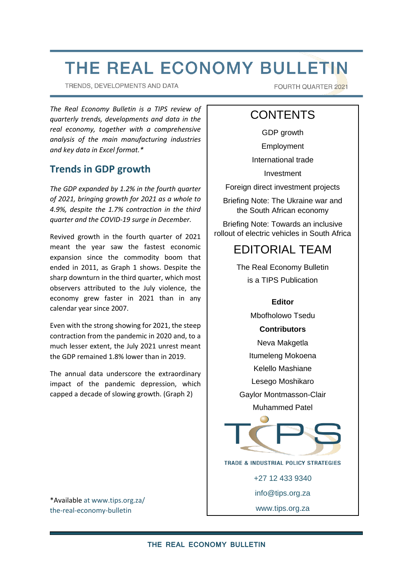# THE REAL ECONOMY BULLETIN

TRENDS, DEVELOPMENTS AND DATA

FOURTH QUARTER 2021

*The Real Economy Bulletin is a TIPS review of quarterly trends, developments and data in the real economy, together with a comprehensive analysis of the main manufacturing industries and key data in Excel format.\**

# **Trends in GDP growth**

*The GDP expanded by 1.2% in the fourth quarter of 2021, bringing growth for 2021 as a whole to 4.9%, despite the 1.7% contraction in the third quarter and the COVID-19 surge in December.* 

Revived growth in the fourth quarter of 2021 meant the year saw the fastest economic expansion since the commodity boom that ended in 2011, as [Graph 1](#page-1-0) shows. Despite the sharp downturn in the third quarter, which most observers attributed to the July violence, the economy grew faster in 2021 than in any calendar year since 2007.

Even with the strong showing for 2021, the steep contraction from the pandemic in 2020 and, to a much lesser extent, the July 2021 unrest meant the GDP remained 1.8% lower than in 2019.

The annual data underscore the extraordinary impact of the pandemic depression, which capped a decade of slowing growth. [\(Graph 2\)](#page-1-1)

\*Availabl[e at www.tips.org.za/](https://www.tips.org.za/manufacturing-data/the-real-economy-bulletin/quarterly-bulletin/item/4324-the-real-economy-bulletin-fourth-quarter-2021) [the-real-economy-bulletin](https://www.tips.org.za/manufacturing-data/the-real-economy-bulletin/quarterly-bulletin/item/4324-the-real-economy-bulletin-fourth-quarter-2021)

# **CONTENTS**

GDP growth

Employment

International trade

Investment

Foreign direct investment projects

Briefing Note: The Ukraine war and the South African economy

Briefing Note: Towards an inclusive rollout of electric vehicles in South Africa

# EDITORIAL TEAM

The Real Economy Bulletin is a TIPS Publication

#### **Editor**

Mbofholowo Tsedu

#### **Contributors**

Neva Makgetla

Itumeleng Mokoena

Kelello Mashiane

Lesego Moshikaro

Gaylor Montmasson-Clair Muhammed Patel



TRADE & INDUSTRIAL POLICY STRATEGIES

+27 12 433 9340

[info@tips.org.za](mailto:info@tips.org.za)

[www.tips.org.za](http://www.tips.org.za/)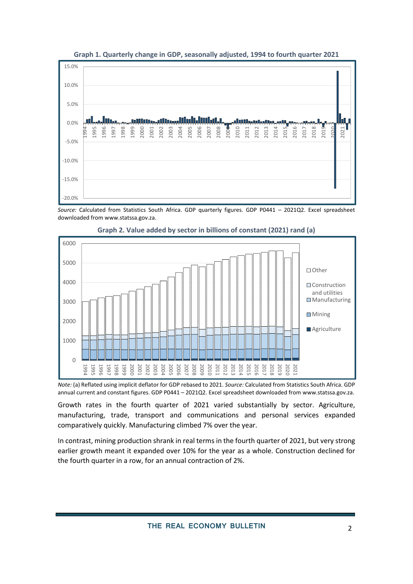<span id="page-1-0"></span>

**Graph 1. Quarterly change in GDP, seasonally adjusted, 1994 to fourth quarter 2021**

*Source:* Calculated from Statistics South Africa. GDP quarterly figures. GDP P0441 – 2021Q2. Excel spreadsheet downloaded from [www.statssa.gov.za.](http://www.statssa.gov.za/)

<span id="page-1-1"></span>



*Note:* (a) Reflated using implicit deflator for GDP rebased to 2021. *Source:* Calculated from Statistics South Africa. GDP annual current and constant figures. GDP P0441 – 2021Q2. Excel spreadsheet downloaded fro[m www.statssa.gov.za.](http://www.statssa.gov.za/)

Growth rates in the fourth quarter of 2021 varied substantially by sector. Agriculture, manufacturing, trade, transport and communications and personal services expanded comparatively quickly. Manufacturing climbed 7% over the year.

In contrast, mining production shrank in real terms in the fourth quarter of 2021, but very strong earlier growth meant it expanded over 10% for the year as a whole. Construction declined for the fourth quarter in a row, for an annual contraction of 2%.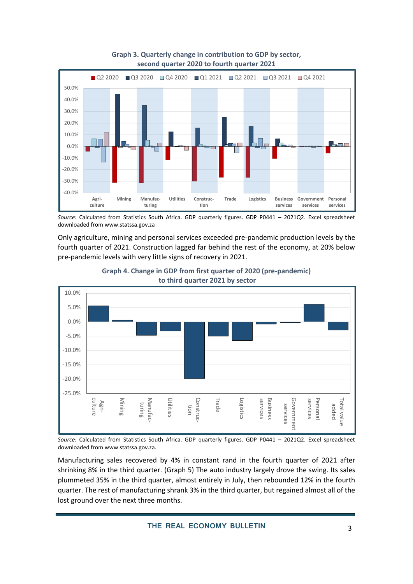

#### **Graph 3. Quarterly change in contribution to GDP by sector, second quarter 2020 to fourth quarter 2021**

Only agriculture, mining and personal services exceeded pre-pandemic production levels by the fourth quarter of 2021. Construction lagged far behind the rest of the economy, at 20% below pre-pandemic levels with very little signs of recovery in 2021.





*Source:* Calculated from Statistics South Africa. GDP quarterly figures. GDP P0441 – 2021Q2. Excel spreadsheet downloaded from [www.statssa.gov.za.](http://www.statssa.gov.za/)

Manufacturing sales recovered by 4% in constant rand in the fourth quarter of 2021 after shrinking 8% in the third quarter. [\(Graph 5\)](#page-3-0) The auto industry largely drove the swing. Its sales plummeted 35% in the third quarter, almost entirely in July, then rebounded 12% in the fourth quarter. The rest of manufacturing shrank 3% in the third quarter, but regained almost all of the lost ground over the next three months.

*Source:* Calculated from Statistics South Africa. GDP quarterly figures. GDP P0441 – 2021Q2. Excel spreadsheet downloaded from [www.statssa.gov.za](http://www.statssa.gov.za/)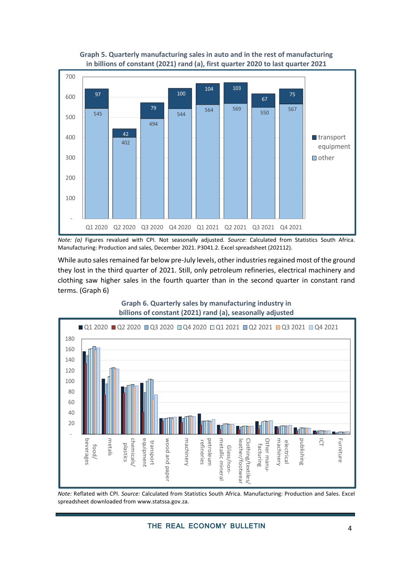<span id="page-3-0"></span>

#### **Graph 5. Quarterly manufacturing sales in auto and in the rest of manufacturing in billions of constant (2021) rand (a), first quarter 2020 to last quarter 2021**

*Note: (a)* Figures revalued with CPI. Not seasonally adjusted. *Source*: Calculated from Statistics South Africa. Manufacturing: Production and sales, December 2021. P3041.2. Excel spreadsheet (202112).

While auto sales remained far below pre-July levels, other industries regained most of the ground they lost in the third quarter of 2021. Still, only petroleum refineries, electrical machinery and clothing saw higher sales in the fourth quarter than in the second quarter in constant rand terms. [\(Graph 6\)](#page-3-1)

> **Graph 6. Quarterly sales by manufacturing industry in billions of constant (2021) rand (a), seasonally adjusted**

<span id="page-3-1"></span>

*Note:* Reflated with CPI. *Source:* Calculated from Statistics South Africa. Manufacturing: Production and Sales. Excel spreadsheet downloaded fro[m www.statssa.gov.za.](http://www.statssa.gov.za/)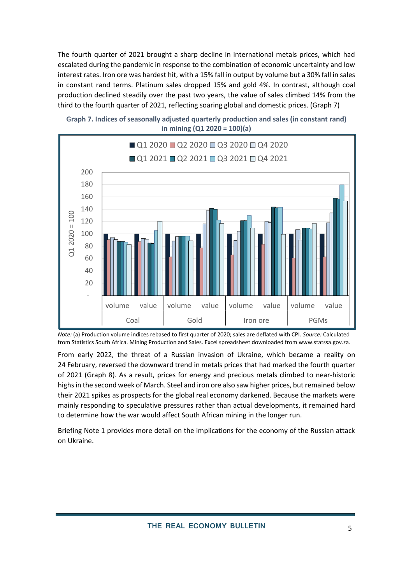The fourth quarter of 2021 brought a sharp decline in international metals prices, which had escalated during the pandemic in response to the combination of economic uncertainty and low interest rates. Iron ore was hardest hit, with a 15% fall in output by volume but a 30% fall in sales in constant rand terms. Platinum sales dropped 15% and gold 4%. In contrast, although coal production declined steadily over the past two years, the value of sales climbed 14% from the third to the fourth quarter of 2021, reflecting soaring global and domestic prices. [\(Graph 7\)](#page-4-0)



<span id="page-4-0"></span>

From early 2022, the threat of a Russian invasion of Ukraine, which became a reality on 24 February, reversed the downward trend in metals prices that had marked the fourth quarter of 2021 [\(Graph 8\)](#page-5-0). As a result, prices for energy and precious metals climbed to near-historic highs in the second week of March. Steel and iron ore also saw higher prices, but remained below their 2021 spikes as prospects for the global real economy darkened. Because the markets were mainly responding to speculative pressures rather than actual developments, it remained hard to determine how the war would affect South African mining in the longer run.

Briefing Note 1 provides more detail on the implications for the economy of the Russian attack on Ukraine.

*Note:* (a) Production volume indices rebased to first quarter of 2020; sales are deflated with CPI. *Source:* Calculated from Statistics South Africa. Mining Production and Sales. Excel spreadsheet downloaded fro[m www.statssa.gov.za.](http://www.statssa.gov.za/)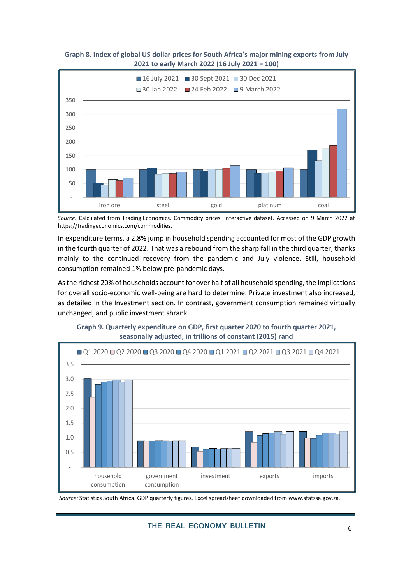

<span id="page-5-0"></span>**Graph 8. Index of global US dollar prices for South Africa's major mining exports from July 2021 to early March 2022 (16 July 2021 = 100)**

*Source:* Calculated from Trading Economics. Commodity prices. Interactive dataset. Accessed on 9 March 2022 at [https://tradingeconomics.com/commodities.](https://tradingeconomics.com/commodities)

In expenditure terms, a 2.8% jump in household spending accounted for most of the GDP growth in the fourth quarter of 2022. That was a rebound from the sharp fall in the third quarter, thanks mainly to the continued recovery from the pandemic and July violence. Still, household consumption remained 1% below pre-pandemic days.

Asthe richest 20% of households account for over half of all household spending, the implications for overall socio-economic well-being are hard to determine. Private investment also increased, as detailed in the Investment section. In contrast, government consumption remained virtually unchanged, and public investment shrank.



**Graph 9. Quarterly expenditure on GDP, first quarter 2020 to fourth quarter 2021, seasonally adjusted, in trillions of constant (2015) rand**

*Source:* Statistics South Africa. GDP quarterly figures. Excel spreadsheet downloaded from [www.statssa.gov.za](http://www.statssa.gov.za/)*.*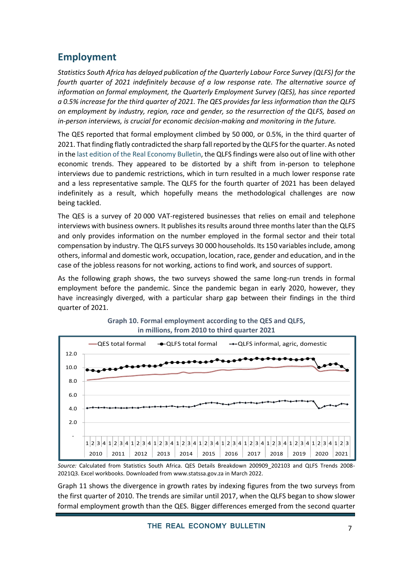# **Employment**

*Statistics South Africa has delayed publication of the Quarterly Labour Force Survey (QLFS) for the fourth quarter of 2021 indefinitely because of a low response rate. The alternative source of information on formal employment, the Quarterly Employment Survey (QES), has since reported a 0.5% increase for the third quarter of 2021. The QES provides far less information than the QLFS on employment by industry, region, race and gender, so the resurrection of the QLFS, based on in-person interviews, is crucial for economic decision-making and monitoring in the future.* 

The QES reported that formal employment climbed by 50 000, or 0.5%, in the third quarter of 2021. That finding flatly contradicted the sharp fall reported by the QLFS for the quarter. As noted in the last edition [of the Real Economy Bulletin,](https://www.tips.org.za/images/The_Real_Economy_Bulletin_-_Third_Quarter_2021.pdf) the QLFS findings were also out of line with other economic trends. They appeared to be distorted by a shift from in-person to telephone interviews due to pandemic restrictions, which in turn resulted in a much lower response rate and a less representative sample. The QLFS for the fourth quarter of 2021 has been delayed indefinitely as a result, which hopefully means the methodological challenges are now being tackled.

The QES is a survey of 20 000 VAT-registered businesses that relies on email and telephone interviews with business owners. It publishes its results around three months later than the QLFS and only provides information on the number employed in the formal sector and their total compensation by industry. The QLFS surveys 30 000 households. Its 150 variables include, among others, informal and domestic work, occupation, location, race, gender and education, and in the case of the jobless reasons for not working, actions to find work, and sources of support.

As the following graph shows, the two surveys showed the same long-run trends in formal employment before the pandemic. Since the pandemic began in early 2020, however, they have increasingly diverged, with a particular sharp gap between their findings in the third quarter of 2021.



#### **Graph 10. Formal employment according to the QES and QLFS, in millions, from 2010 to third quarter 2021**

[Graph 11](#page-7-0) shows the divergence in growth rates by indexing figures from the two surveys from the first quarter of 2010. The trends are similar until 2017, when the QLFS began to show slower formal employment growth than the QES. Bigger differences emerged from the second quarter

*Source:* Calculated from Statistics South Africa. QES Details Breakdown 200909\_202103 and QLFS Trends 2008- 2021Q3. Excel workbooks. Downloaded fro[m www.statssa.gov.za](http://www.statssa.gov.za/) in March 2022.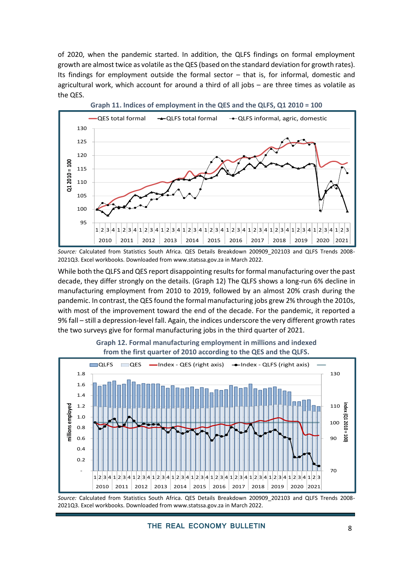of 2020, when the pandemic started. In addition, the QLFS findings on formal employment growth are almost twice as volatile as the QES (based on the standard deviation for growth rates). Its findings for employment outside the formal sector – that is, for informal, domestic and agricultural work, which account for around a third of all jobs – are three times as volatile as the QES.

<span id="page-7-0"></span>

*Source:* Calculated from Statistics South Africa. QES Details Breakdown 200909\_202103 and QLFS Trends 2008- 2021Q3. Excel workbooks. Downloaded fro[m www.statssa.gov.za](http://www.statssa.gov.za/) in March 2022.

While both the QLFS and QES report disappointing results for formal manufacturing over the past decade, they differ strongly on the details. [\(Graph 12\)](#page-7-1) The QLFS shows a long-run 6% decline in manufacturing employment from 2010 to 2019, followed by an almost 20% crash during the pandemic. In contrast, the QES found the formal manufacturing jobs grew 2% through the 2010s, with most of the improvement toward the end of the decade. For the pandemic, it reported a 9% fall – still a depression-level fall. Again, the indices underscore the very different growth rates the two surveys give for formal manufacturing jobs in the third quarter of 2021.

<span id="page-7-1"></span>

**Graph 12. Formal manufacturing employment in millions and indexed from the first quarter of 2010 according to the QES and the QLFS.**

*Source:* Calculated from Statistics South Africa. QES Details Breakdown 200909\_202103 and QLFS Trends 2008- 2021Q3. Excel workbooks. Downloaded fro[m www.statssa.gov.za](http://www.statssa.gov.za/) in March 2022.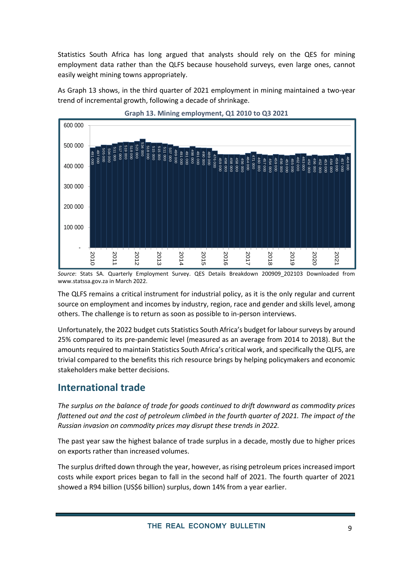Statistics South Africa has long argued that analysts should rely on the QES for mining employment data rather than the QLFS because household surveys, even large ones, cannot easily weight mining towns appropriately.

As [Graph 13](#page-8-0) shows, in the third quarter of 2021 employment in mining maintained a two-year trend of incremental growth, following a decade of shrinkage.

<span id="page-8-0"></span>



*Source*: Stats SA. Quarterly Employment Survey. QES Details Breakdown 200909\_202103 Downloaded from www.statssa.gov.za in March 2022.

The QLFS remains a critical instrument for industrial policy, as it is the only regular and current source on employment and incomes by industry, region, race and gender and skills level, among others. The challenge is to return as soon as possible to in-person interviews.

Unfortunately, the 2022 budget cuts Statistics South Africa's budget for labour surveys by around 25% compared to its pre-pandemic level (measured as an average from 2014 to 2018). But the amounts required to maintain Statistics South Africa's critical work, and specifically the QLFS, are trivial compared to the benefits this rich resource brings by helping policymakers and economic stakeholders make better decisions.

# **International trade**

*The surplus on the balance of trade for goods continued to drift downward as commodity prices flattened out and the cost of petroleum climbed in the fourth quarter of 2021. The impact of the Russian invasion on commodity prices may disrupt these trends in 2022.* 

The past year saw the highest balance of trade surplus in a decade, mostly due to higher prices on exports rather than increased volumes.

The surplus drifted down through the year, however, as rising petroleum prices increased import costs while export prices began to fall in the second half of 2021. The fourth quarter of 2021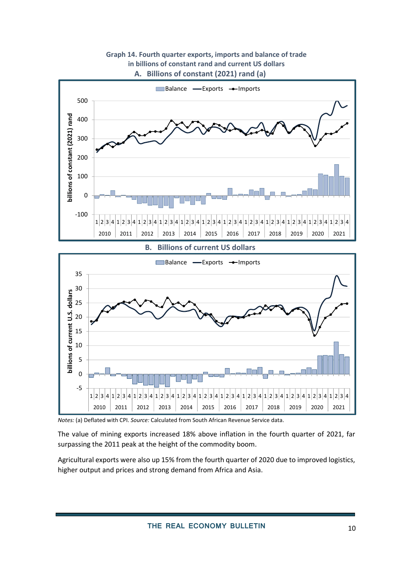**Graph 14. Fourth quarter exports, imports and balance of trade in billions of constant rand and current US dollars A. Billions of constant (2021) rand (a)**



*Notes:* (a) Deflated with CPI. *Source:* Calculated from South African Revenue Service data.

The value of mining exports increased 18% above inflation in the fourth quarter of 2021, far surpassing the 2011 peak at the height of the commodity boom.

Agricultural exports were also up 15% from the fourth quarter of 2020 due to improved logistics, higher output and prices and strong demand from Africa and Asia.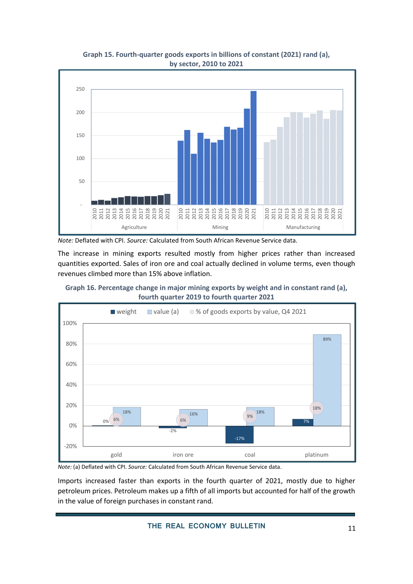

**Graph 15. Fourth-quarter goods exports in billions of constant (2021) rand (a), by sector, 2010 to 2021**

The increase in mining exports resulted mostly from higher prices rather than increased quantities exported. Sales of iron ore and coal actually declined in volume terms, even though revenues climbed more than 15% above inflation.

**Graph 16. Percentage change in major mining exports by weight and in constant rand (a), fourth quarter 2019 to fourth quarter 2021**



*Note:* (a) Deflated with CPI. *Source:* Calculated from South African Revenue Service data.

Imports increased faster than exports in the fourth quarter of 2021, mostly due to higher petroleum prices. Petroleum makes up a fifth of all imports but accounted for half of the growth in the value of foreign purchases in constant rand.

*Note:* Deflated with CPI. *Source:* Calculated from South African Revenue Service data.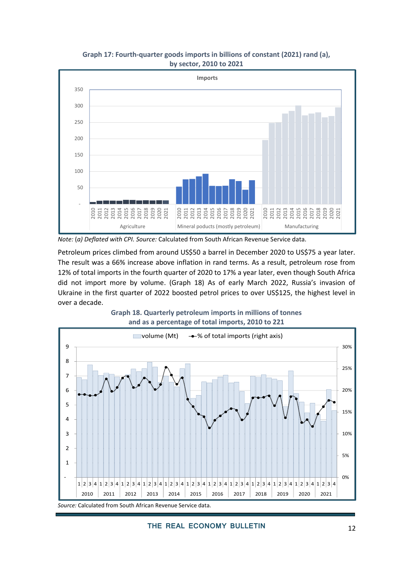



*Note:* (*a) Deflated with CPI. Source:* Calculated from South African Revenue Service data*.*

Petroleum prices climbed from around US\$50 a barrel in December 2020 to US\$75 a year later. The result was a 66% increase above inflation in rand terms. As a result, petroleum rose from 12% of total imports in the fourth quarter of 2020 to 17% a year later, even though South Africa did not import more by volume. [\(Graph 18\)](#page-11-0) As of early March 2022, Russia's invasion of Ukraine in the first quarter of 2022 boosted petrol prices to over US\$125, the highest level in over a decade.

<span id="page-11-0"></span>

**Graph 18. Quarterly petroleum imports in millions of tonnes and as a percentage of total imports, 2010 to 221**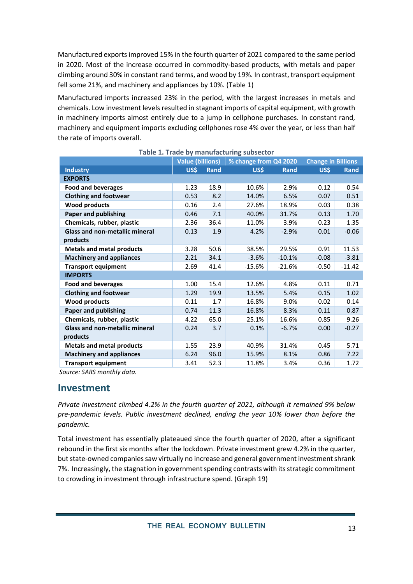Manufactured exports improved 15% in the fourth quarter of 2021 compared to the same period in 2020. Most of the increase occurred in commodity-based products, with metals and paper climbing around 30% in constant rand terms, and wood by 19%. In contrast, transport equipment fell some 21%, and machinery and appliances by 10%. (Table 1)

Manufactured imports increased 23% in the period, with the largest increases in metals and chemicals. Low investment levels resulted in stagnant imports of capital equipment, with growth in machinery imports almost entirely due to a jump in cellphone purchases. In constant rand, machinery and equipment imports excluding cellphones rose 4% over the year, or less than half the rate of imports overall.

|                                       | <b>Value (billions)</b> |             | % change from Q4 2020 |          | <b>Change in Billions</b> |          |  |  |  |
|---------------------------------------|-------------------------|-------------|-----------------------|----------|---------------------------|----------|--|--|--|
| <b>Industry</b>                       | US\$                    | <b>Rand</b> | US\$                  | Rand     | US\$                      | Rand     |  |  |  |
| <b>EXPORTS</b>                        |                         |             |                       |          |                           |          |  |  |  |
| <b>Food and beverages</b>             | 1.23                    | 18.9        | 10.6%                 | 2.9%     | 0.12                      | 0.54     |  |  |  |
| <b>Clothing and footwear</b>          | 0.53                    | 8.2         | 14.0%                 | 6.5%     | 0.07                      | 0.51     |  |  |  |
| <b>Wood products</b>                  | 0.16                    | 2.4         | 27.6%                 | 18.9%    | 0.03                      | 0.38     |  |  |  |
| <b>Paper and publishing</b>           | 0.46                    | 7.1         | 40.0%                 | 31.7%    | 0.13                      | 1.70     |  |  |  |
| Chemicals, rubber, plastic            | 2.36                    | 36.4        | 11.0%                 | 3.9%     | 0.23                      | 1.35     |  |  |  |
| <b>Glass and non-metallic mineral</b> | 0.13                    | 1.9         | 4.2%                  | $-2.9%$  | 0.01                      | $-0.06$  |  |  |  |
| products                              |                         |             |                       |          |                           |          |  |  |  |
| <b>Metals and metal products</b>      | 3.28                    | 50.6        | 38.5%                 | 29.5%    | 0.91                      | 11.53    |  |  |  |
| <b>Machinery and appliances</b>       | 2.21                    | 34.1        | $-3.6%$               | $-10.1%$ | $-0.08$                   | $-3.81$  |  |  |  |
| <b>Transport equipment</b>            | 2.69                    | 41.4        | $-15.6%$              | $-21.6%$ | $-0.50$                   | $-11.42$ |  |  |  |
| <b>IMPORTS</b>                        |                         |             |                       |          |                           |          |  |  |  |
| <b>Food and beverages</b>             | 1.00                    | 15.4        | 12.6%                 | 4.8%     | 0.11                      | 0.71     |  |  |  |
| <b>Clothing and footwear</b>          | 1.29                    | 19.9        | 13.5%                 | 5.4%     | 0.15                      | 1.02     |  |  |  |
| <b>Wood products</b>                  | 0.11                    | 1.7         | 16.8%                 | 9.0%     | 0.02                      | 0.14     |  |  |  |
| <b>Paper and publishing</b>           | 0.74                    | 11.3        | 16.8%                 | 8.3%     | 0.11                      | 0.87     |  |  |  |
| Chemicals, rubber, plastic            | 4.22                    | 65.0        | 25.1%                 | 16.6%    | 0.85                      | 9.26     |  |  |  |
| <b>Glass and non-metallic mineral</b> | 0.24                    | 3.7         | 0.1%                  | $-6.7%$  | 0.00                      | $-0.27$  |  |  |  |
| products                              |                         |             |                       |          |                           |          |  |  |  |
| <b>Metals and metal products</b>      | 1.55                    | 23.9        | 40.9%                 | 31.4%    | 0.45                      | 5.71     |  |  |  |
| <b>Machinery and appliances</b>       | 6.24                    | 96.0        | 15.9%                 | 8.1%     | 0.86                      | 7.22     |  |  |  |
| <b>Transport equipment</b>            | 3.41                    | 52.3        | 11.8%                 | 3.4%     | 0.36                      | 1.72     |  |  |  |

#### **Table 1. Trade by manufacturing subsector**

*Source: SARS monthly data.* 

### **Investment**

*Private investment climbed 4.2% in the fourth quarter of 2021, although it remained 9% below pre-pandemic levels. Public investment declined, ending the year 10% lower than before the pandemic.* 

Total investment has essentially plateaued since the fourth quarter of 2020, after a significant rebound in the first six months after the lockdown. Private investment grew 4.2% in the quarter, but state-owned companies saw virtually no increase and general government investment shrank 7%. Increasingly, the stagnation in government spending contrasts with its strategic commitment to crowding in investment through infrastructure spend. [\(Graph 19\)](#page-13-0)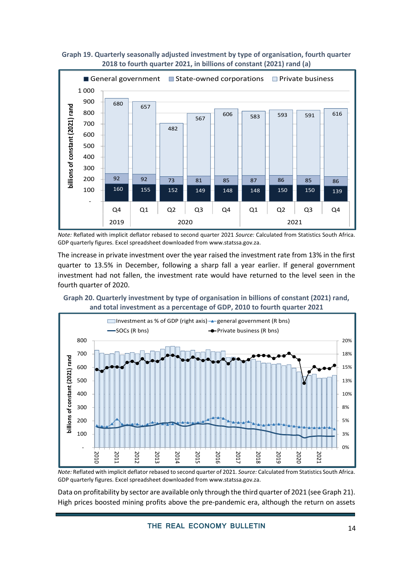

<span id="page-13-0"></span>**Graph 19. Quarterly seasonally adjusted investment by type of organisation, fourth quarter 2018 to fourth quarter 2021, in billions of constant (2021) rand (a)**

*Note:* Reflated with implicit deflator rebased to second quarter 2021 *Source:* Calculated from Statistics South Africa. GDP quarterly figures. Excel spreadsheet downloaded fro[m www.statssa.gov.za.](http://www.statssa.gov.za/)

The increase in private investment over the year raised the investment rate from 13% in the first quarter to 13.5% in December, following a sharp fall a year earlier. If general government investment had not fallen, the investment rate would have returned to the level seen in the fourth quarter of 2020.





*Note:* Reflated with implicit deflator rebased to second quarter of 2021*. Source:* Calculated from Statistics South Africa. GDP quarterly figures. Excel spreadsheet downloaded fro[m www.statssa.gov.za.](http://www.statssa.gov.za/)

Data on profitability by sector are available only through the third quarter of 2021 (see Graph 21). High prices boosted mining profits above the pre-pandemic era, although the return on assets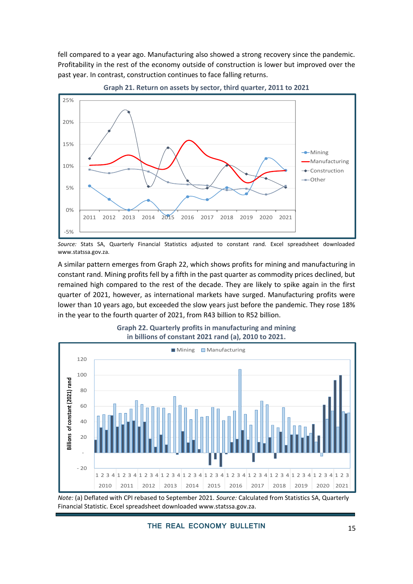fell compared to a year ago. Manufacturing also showed a strong recovery since the pandemic. Profitability in the rest of the economy outside of construction is lower but improved over the past year. In contrast, construction continues to face falling returns.





A similar pattern emerges from [Graph](#page-14-0) 22, which shows profits for mining and manufacturing in constant rand. Mining profits fell by a fifth in the past quarter as commodity prices declined, but remained high compared to the rest of the decade. They are likely to spike again in the first quarter of 2021, however, as international markets have surged. Manufacturing profits were lower than 10 years ago, but exceeded the slow years just before the pandemic. They rose 18% in the year to the fourth quarter of 2021, from R43 billion to R52 billion.

<span id="page-14-0"></span>

#### **Graph 22. Quarterly profits in manufacturing and mining in billions of constant 2021 rand (a), 2010 to 2021.**

*Note:* (a) Deflated with CPI rebased to September 2021. *Source:* Calculated from Statistics SA, Quarterly Financial Statistic. Excel spreadsheet downloaded www.statssa.gov.za.

*Source:* Stats SA, Quarterly Financial Statistics adjusted to constant rand. Excel spreadsheet downloaded www.statssa.gov.za.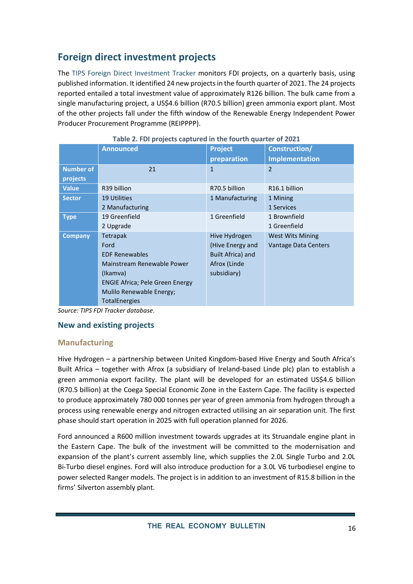# **Foreign direct investment projects**

The [TIPS Foreign Direct Investment Tracker](https://www.tips.org.za/manufacturing-data/fdi-tracker) monitors FDI projects, on a quarterly basis, using published information. It identified 24 new projects in the fourth quarter of 2021. The 24 projects reported entailed a total investment value of approximately R126 billion. The bulk came from a single manufacturing project, a US\$4.6 billion (R70.5 billion) green ammonia export plant. Most of the other projects fall under the fifth window of the Renewable Energy Independent Power Producer Procurement Programme (REIPPPP).

|                              | <b>Announced</b>                                                                                                                                                                   | <b>Project</b><br>preparation                                                         | <b>Construction/</b><br><b>Implementation</b>   |
|------------------------------|------------------------------------------------------------------------------------------------------------------------------------------------------------------------------------|---------------------------------------------------------------------------------------|-------------------------------------------------|
| <b>Number of</b><br>projects | 21                                                                                                                                                                                 | $\mathbf{1}$                                                                          | $\overline{2}$                                  |
| <b>Value</b>                 | R39 billion                                                                                                                                                                        | R70.5 billion                                                                         | R <sub>16.1</sub> billion                       |
| <b>Sector</b>                | <b>19 Utilities</b><br>2 Manufacturing                                                                                                                                             | 1 Manufacturing                                                                       | 1 Mining<br>1 Services                          |
| <b>Type</b>                  | 19 Greenfield<br>2 Upgrade                                                                                                                                                         | 1 Greenfield                                                                          | 1 Brownfield<br>1 Greenfield                    |
| <b>Company</b>               | Tetrapak<br>Ford<br><b>EDF Renewables</b><br>Mainstream Renewable Power<br>(Ikamva)<br><b>ENGIE Africa</b> ; Pele Green Energy<br>Mulilo Renewable Energy;<br><b>TotalEnergies</b> | Hive Hydrogen<br>(Hive Energy and<br>Built Africa) and<br>Afrox (Linde<br>subsidiary) | <b>West Wits Mining</b><br>Vantage Data Centers |

**Table 2. FDI projects captured in the fourth quarter of 2021**

*Source: TIPS FDI Tracker database.*

### **New and existing projects**

# **Manufacturing**

Hive Hydrogen – a partnership between United Kingdom-based Hive Energy and South Africa's Built Africa – together with Afrox (a subsidiary of Ireland-based Linde plc) plan to establish a green ammonia export facility. The plant will be developed for an estimated US\$4.6 billion (R70.5 billion) at the Coega Special Economic Zone in the Eastern Cape. The facility is expected to produce approximately 780 000 tonnes per year of green ammonia from hydrogen through a process using renewable energy and nitrogen extracted utilising an air separation unit. The first phase should start operation in 2025 with full operation planned for 2026.

Ford announced a R600 million investment towards upgrades at its Struandale engine plant in the Eastern Cape. The bulk of the investment will be committed to the modernisation and expansion of the plant's current assembly line, which supplies the 2.0L Single Turbo and 2.0L Bi-Turbo diesel engines. Ford will also introduce production for a 3.0L V6 turbodiesel engine to power selected Ranger models. The project is in addition to an investment of R15.8 billion in the firms' Silverton assembly plant.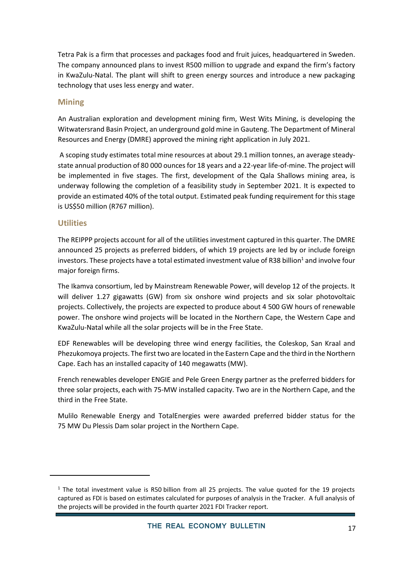Tetra Pak is a firm that processes and packages food and fruit juices, headquartered in Sweden. The company announced plans to invest R500 million to upgrade and expand the firm's factory in KwaZulu-Natal. The plant will shift to green energy sources and introduce a new packaging technology that uses less energy and water.

### **Mining**

An Australian exploration and development mining firm, West Wits Mining, is developing the Witwatersrand Basin Project, an underground gold mine in Gauteng. The Department of Mineral Resources and Energy (DMRE) approved the mining right application in July 2021.

A scoping study estimates total mine resources at about 29.1 million tonnes, an average steadystate annual production of 80 000 ouncesfor 18 years and a 22-year life-of-mine. The project will be implemented in five stages. The first, development of the Qala Shallows mining area, is underway following the completion of a feasibility study in September 2021. It is expected to provide an estimated 40% of the total output. Estimated peak funding requirement for this stage is US\$50 million (R767 million).

### **Utilities**

The REIPPP projects account for all of the utilities investment captured in this quarter. The DMRE announced 25 projects as preferred bidders, of which 19 projects are led by or include foreign investors. These projects have a total estimated investment value of R38 billion<sup>1</sup> and involve four major foreign firms.

The Ikamva consortium, led by Mainstream Renewable Power, will develop 12 of the projects. It will deliver 1.27 gigawatts (GW) from six onshore wind projects and six solar photovoltaic projects. Collectively, the projects are expected to produce about 4 500 GW hours of renewable power. The onshore wind projects will be located in the Northern Cape, the Western Cape and KwaZulu-Natal while all the solar projects will be in the Free State.

EDF Renewables will be developing three wind energy facilities, the Coleskop, San Kraal and Phezukomoya projects. The first two are located in the Eastern Cape and the third in the Northern Cape. Each has an installed capacity of 140 megawatts (MW).

French renewables developer ENGIE and Pele Green Energy partner as the preferred bidders for three solar projects, each with 75-MW installed capacity. Two are in the Northern Cape, and the third in the Free State.

Mulilo Renewable Energy and TotalEnergies were awarded preferred bidder status for the 75 MW Du Plessis Dam solar project in the Northern Cape.

 $1$  The total investment value is R50 billion from all 25 projects. The value quoted for the 19 projects captured as FDI is based on estimates calculated for purposes of analysis in the Tracker. A full analysis of the projects will be provided in the fourth quarter 2021 FDI Tracker report.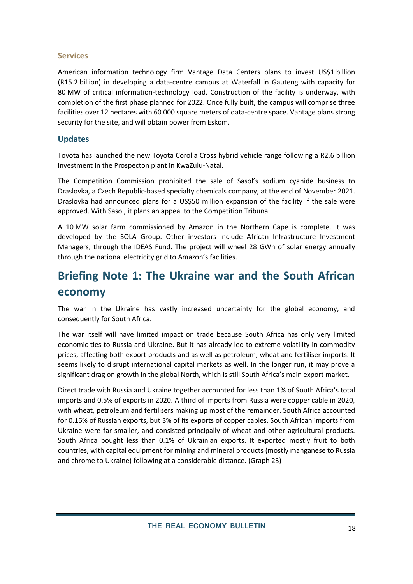#### **Services**

American information technology firm Vantage Data Centers plans to invest US\$1 billion (R15.2 billion) in developing a data-centre campus at Waterfall in Gauteng with capacity for 80 MW of critical information-technology load. Construction of the facility is underway, with completion of the first phase planned for 2022. Once fully built, the campus will comprise three facilities over 12 hectares with 60 000 square meters of data-centre space. Vantage plans strong security for the site, and will obtain power from Eskom.

### **Updates**

Toyota has launched the new Toyota Corolla Cross hybrid vehicle range following a R2.6 billion investment in the Prospecton plant in KwaZulu-Natal.

The Competition Commission prohibited the sale of Sasol's sodium cyanide business to Draslovka, a Czech Republic-based specialty chemicals company, at the end of November 2021. Draslovka had announced plans for a US\$50 million expansion of the facility if the sale were approved. With Sasol, it plans an appeal to the Competition Tribunal.

A 10 MW solar farm commissioned by Amazon in the Northern Cape is complete. It was developed by the SOLA Group. Other investors include African Infrastructure Investment Managers, through the IDEAS Fund. The project will wheel 28 GWh of solar energy annually through the national electricity grid to Amazon's facilities.

# **Briefing Note 1: The Ukraine war and the South African economy**

The war in the Ukraine has vastly increased uncertainty for the global economy, and consequently for South Africa.

The war itself will have limited impact on trade because South Africa has only very limited economic ties to Russia and Ukraine. But it has already led to extreme volatility in commodity prices, affecting both export products and as well as petroleum, wheat and fertiliser imports. It seems likely to disrupt international capital markets as well. In the longer run, it may prove a significant drag on growth in the global North, which is still South Africa's main export market.

Direct trade with Russia and Ukraine together accounted for less than 1% of South Africa's total imports and 0.5% of exports in 2020. A third of imports from Russia were copper cable in 2020, with wheat, petroleum and fertilisers making up most of the remainder. South Africa accounted for 0.16% of Russian exports, but 3% of its exports of copper cables. South African imports from Ukraine were far smaller, and consisted principally of wheat and other agricultural products. South Africa bought less than 0.1% of Ukrainian exports. It exported mostly fruit to both countries, with capital equipment for mining and mineral products (mostly manganese to Russia and chrome to Ukraine) following at a considerable distance. [\(Graph 23\)](#page-18-0)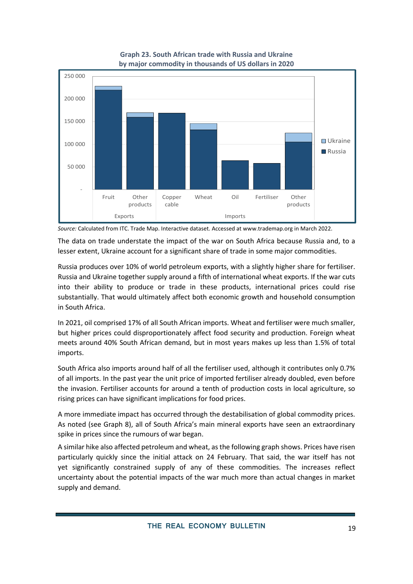<span id="page-18-0"></span>

**Graph 23. South African trade with Russia and Ukraine by major commodity in thousands of US dollars in 2020**

The data on trade understate the impact of the war on South Africa because Russia and, to a lesser extent, Ukraine account for a significant share of trade in some major commodities.

Russia produces over 10% of world petroleum exports, with a slightly higher share for fertiliser. Russia and Ukraine together supply around a fifth of international wheat exports. If the war cuts into their ability to produce or trade in these products, international prices could rise substantially. That would ultimately affect both economic growth and household consumption in South Africa.

In 2021, oil comprised 17% of all South African imports. Wheat and fertiliser were much smaller, but higher prices could disproportionately affect food security and production. Foreign wheat meets around 40% South African demand, but in most years makes up less than 1.5% of total imports.

South Africa also imports around half of all the fertiliser used, although it contributes only 0.7% of all imports. In the past year the unit price of imported fertiliser already doubled, even before the invasion. Fertiliser accounts for around a tenth of production costs in local agriculture, so rising prices can have significant implications for food prices.

A more immediate impact has occurred through the destabilisation of global commodity prices. As noted (see [Graph 8](#page-5-0)), all of South Africa's main mineral exports have seen an extraordinary spike in prices since the rumours of war began.

A similar hike also affected petroleum and wheat, as the following graph shows. Prices have risen particularly quickly since the initial attack on 24 February. That said, the war itself has not yet significantly constrained supply of any of these commodities. The increases reflect uncertainty about the potential impacts of the war much more than actual changes in market supply and demand.

*Source:* Calculated from ITC. Trade Map. Interactive dataset. Accessed a[t www.trademap.org](http://www.trademap.org/) in March 2022.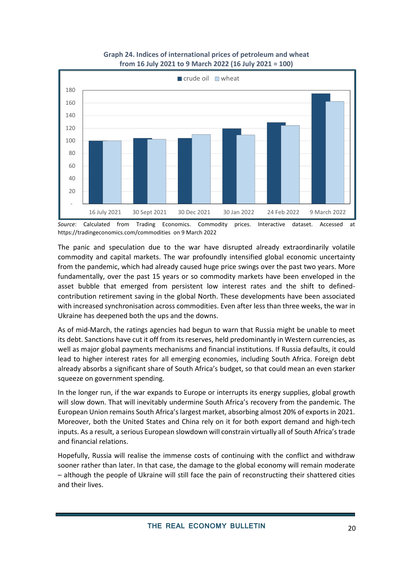#### **Graph 24. Indices of international prices of petroleum and wheat from 16 July 2021 to 9 March 2022 (16 July 2021 = 100)**



*Source*: Calculated from Trading Economics. Commodity prices. Interactive dataset. Accessed at <https://tradingeconomics.com/commodities>on 9 March 2022

The panic and speculation due to the war have disrupted already extraordinarily volatile commodity and capital markets. The war profoundly intensified global economic uncertainty from the pandemic, which had already caused huge price swings over the past two years. More fundamentally, over the past 15 years or so commodity markets have been enveloped in the asset bubble that emerged from persistent low interest rates and the shift to definedcontribution retirement saving in the global North. These developments have been associated with increased synchronisation across commodities. Even after less than three weeks, the war in Ukraine has deepened both the ups and the downs.

As of mid-March, the ratings agencies had begun to warn that Russia might be unable to meet its debt. Sanctions have cut it off from its reserves, held predominantly in Western currencies, as well as major global payments mechanisms and financial institutions. If Russia defaults, it could lead to higher interest rates for all emerging economies, including South Africa. Foreign debt already absorbs a significant share of South Africa's budget, so that could mean an even starker squeeze on government spending.

In the longer run, if the war expands to Europe or interrupts its energy supplies, global growth will slow down. That will inevitably undermine South Africa's recovery from the pandemic. The European Union remains South Africa's largest market, absorbing almost 20% of exports in 2021. Moreover, both the United States and China rely on it for both export demand and high-tech inputs. As a result, a serious European slowdown will constrain virtually all of South Africa's trade and financial relations.

Hopefully, Russia will realise the immense costs of continuing with the conflict and withdraw sooner rather than later. In that case, the damage to the global economy will remain moderate – although the people of Ukraine will still face the pain of reconstructing their shattered cities and their lives.